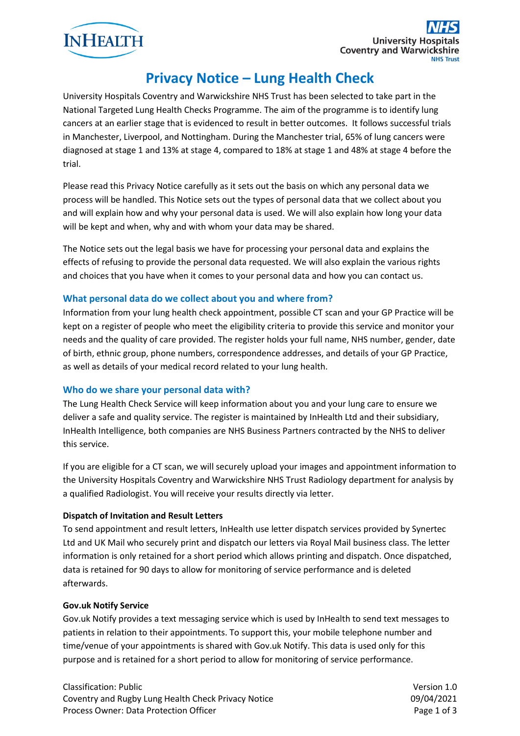

# **Privacy Notice – Lung Health Check**

University Hospitals Coventry and Warwickshire NHS Trust has been selected to take part in the National Targeted Lung Health Checks Programme. The aim of the programme is to identify lung cancers at an earlier stage that is evidenced to result in better outcomes. It follows successful trials in Manchester, Liverpool, and Nottingham. During the Manchester trial, 65% of lung cancers were diagnosed at stage 1 and 13% at stage 4, compared to 18% at stage 1 and 48% at stage 4 before the trial.

Please read this Privacy Notice carefully as it sets out the basis on which any personal data we process will be handled. This Notice sets out the types of personal data that we collect about you and will explain how and why your personal data is used. We will also explain how long your data will be kept and when, why and with whom your data may be shared.

The Notice sets out the legal basis we have for processing your personal data and explains the effects of refusing to provide the personal data requested. We will also explain the various rights and choices that you have when it comes to your personal data and how you can contact us.

# **What personal data do we collect about you and where from?**

Information from your lung health check appointment, possible CT scan and your GP Practice will be kept on a register of people who meet the eligibility criteria to provide this service and monitor your needs and the quality of care provided. The register holds your full name, NHS number, gender, date of birth, ethnic group, phone numbers, correspondence addresses, and details of your GP Practice, as well as details of your medical record related to your lung health.

### **Who do we share your personal data with?**

The Lung Health Check Service will keep information about you and your lung care to ensure we deliver a safe and quality service. The register is maintained by InHealth Ltd and their subsidiary, InHealth Intelligence, both companies are NHS Business Partners contracted by the NHS to deliver this service.

If you are eligible for a CT scan, we will securely upload your images and appointment information to the University Hospitals Coventry and Warwickshire NHS Trust Radiology department for analysis by a qualified Radiologist. You will receive your results directly via letter.

### **Dispatch of Invitation and Result Letters**

To send appointment and result letters, InHealth use letter dispatch services provided by Synertec Ltd and UK Mail who securely print and dispatch our letters via Royal Mail business class. The letter information is only retained for a short period which allows printing and dispatch. Once dispatched, data is retained for 90 days to allow for monitoring of service performance and is deleted afterwards.

### **Gov.uk Notify Service**

Gov.uk Notify provides a text messaging service which is used by InHealth to send text messages to patients in relation to their appointments. To support this, your mobile telephone number and time/venue of your appointments is shared with Gov.uk Notify. This data is used only for this purpose and is retained for a short period to allow for monitoring of service performance.

Classification: Public Version 1.0 Coventry and Rugby Lung Health Check Privacy Notice 09/04/2021 Process Owner: Data Protection Officer **Page 1 of 3** and 2 and 2 and 2 and 2 and 2 and 2 and 2 and 2 and 2 and 2 and 2 and 2 and 2 and 2 and 2 and 2 and 2 and 2 and 2 and 2 and 2 and 2 and 2 and 2 and 2 and 2 and 2 and 2 a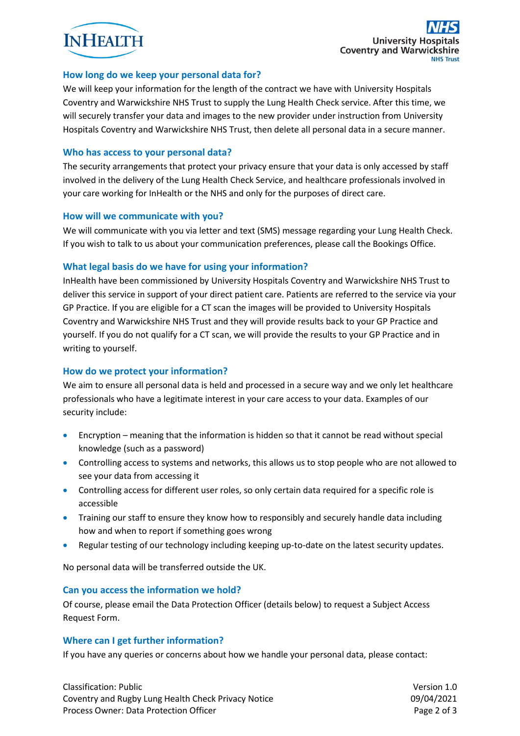

## **How long do we keep your personal data for?**

We will keep your information for the length of the contract we have with University Hospitals Coventry and Warwickshire NHS Trust to supply the Lung Health Check service. After this time, we will securely transfer your data and images to the new provider under instruction from University Hospitals Coventry and Warwickshire NHS Trust, then delete all personal data in a secure manner.

## **Who has access to your personal data?**

The security arrangements that protect your privacy ensure that your data is only accessed by staff involved in the delivery of the Lung Health Check Service, and healthcare professionals involved in your care working for InHealth or the NHS and only for the purposes of direct care.

## **How will we communicate with you?**

We will communicate with you via letter and text (SMS) message regarding your Lung Health Check. If you wish to talk to us about your communication preferences, please call the Bookings Office.

# **What legal basis do we have for using your information?**

InHealth have been commissioned by University Hospitals Coventry and Warwickshire NHS Trust to deliver this service in support of your direct patient care. Patients are referred to the service via your GP Practice. If you are eligible for a CT scan the images will be provided to University Hospitals Coventry and Warwickshire NHS Trust and they will provide results back to your GP Practice and yourself. If you do not qualify for a CT scan, we will provide the results to your GP Practice and in writing to yourself.

# **How do we protect your information?**

We aim to ensure all personal data is held and processed in a secure way and we only let healthcare professionals who have a legitimate interest in your care access to your data. Examples of our security include:

- Encryption meaning that the information is hidden so that it cannot be read without special knowledge (such as a password)
- Controlling access to systems and networks, this allows us to stop people who are not allowed to see your data from accessing it
- Controlling access for different user roles, so only certain data required for a specific role is accessible
- Training our staff to ensure they know how to responsibly and securely handle data including how and when to report if something goes wrong
- Regular testing of our technology including keeping up-to-date on the latest security updates.

No personal data will be transferred outside the UK.

### **Can you access the information we hold?**

Of course, please email the Data Protection Officer (details below) to request a Subject Access Request Form.

### **Where can I get further information?**

If you have any queries or concerns about how we handle your personal data, please contact:

Classification: Public Version 1.0 Coventry and Rugby Lung Health Check Privacy Notice 09/04/2021 Process Owner: Data Protection Officer **Page 2 of 3** and 2 of 3